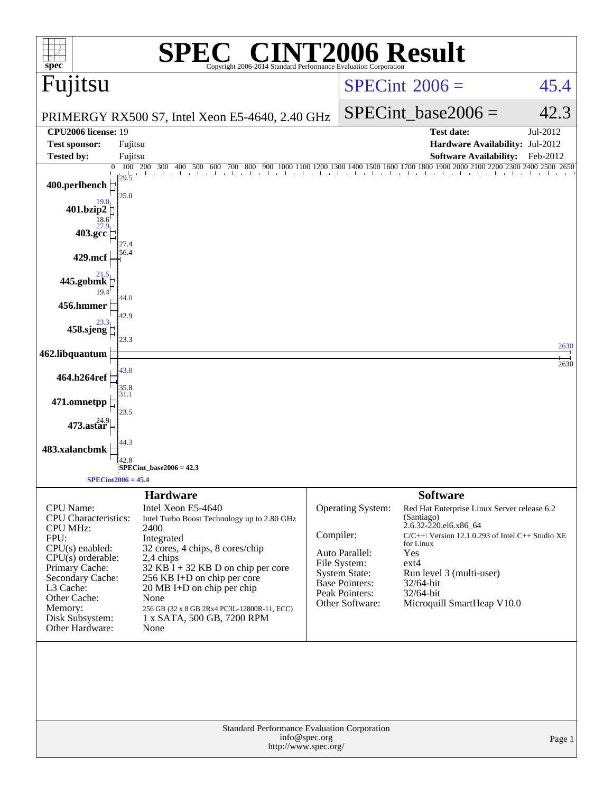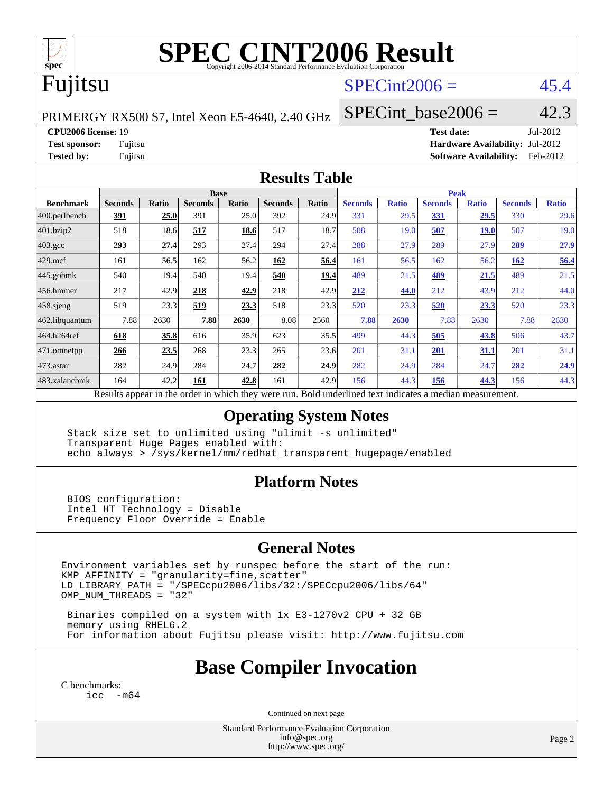

# **[SPEC CINT2006 Result](http://www.spec.org/auto/cpu2006/Docs/result-fields.html#SPECCINT2006Result)**

# Fujitsu

## $SPECint2006 =$  45.4

PRIMERGY RX500 S7, Intel Xeon E5-4640, 2.40 GHz

**[CPU2006 license:](http://www.spec.org/auto/cpu2006/Docs/result-fields.html#CPU2006license)** 19 **[Test date:](http://www.spec.org/auto/cpu2006/Docs/result-fields.html#Testdate)** Jul-2012 **[Test sponsor:](http://www.spec.org/auto/cpu2006/Docs/result-fields.html#Testsponsor)** Fujitsu **[Hardware Availability:](http://www.spec.org/auto/cpu2006/Docs/result-fields.html#HardwareAvailability)** Jul-2012 **[Tested by:](http://www.spec.org/auto/cpu2006/Docs/result-fields.html#Testedby)** Fujitsu **[Software Availability:](http://www.spec.org/auto/cpu2006/Docs/result-fields.html#SoftwareAvailability)** Feb-2012

SPECint base2006 =  $42.3$ 

#### **[Results Table](http://www.spec.org/auto/cpu2006/Docs/result-fields.html#ResultsTable)**

|                                                                                                          | <b>Base</b>    |              |                |              |                |              | <b>Peak</b>    |              |                |              |                |              |
|----------------------------------------------------------------------------------------------------------|----------------|--------------|----------------|--------------|----------------|--------------|----------------|--------------|----------------|--------------|----------------|--------------|
| <b>Benchmark</b>                                                                                         | <b>Seconds</b> | <b>Ratio</b> | <b>Seconds</b> | <b>Ratio</b> | <b>Seconds</b> | <b>Ratio</b> | <b>Seconds</b> | <b>Ratio</b> | <b>Seconds</b> | <b>Ratio</b> | <b>Seconds</b> | <b>Ratio</b> |
| 400.perlbench                                                                                            | <u>391</u>     | 25.0         | 391            | 25.0         | 392            | 24.9         | 331            | 29.5         | 331            | 29.5         | 330            | 29.6         |
| 401.bzip2                                                                                                | 518            | 18.6         | 517            | 18.6         | 517            | 18.7         | 508            | 19.0         | 507            | <b>19.0</b>  | 507            | 19.0         |
| $403.\mathrm{gcc}$                                                                                       | <u>293</u>     | 27.4         | 293            | 27.4         | 294            | 27.4         | 288            | 27.9         | 289            | 27.9         | 289            | 27.9         |
| $429$ .mcf                                                                                               | 161            | 56.5         | 162            | 56.2         | 162            | 56.4         | 161            | 56.5         | 162            | 56.2         | 162            | 56.4         |
| $445$ .gobmk                                                                                             | 540            | 19.4         | 540            | 19.4         | 540            | 19.4         | 489            | 21.5         | 489            | 21.5         | 489            | 21.5         |
| $456.$ hmmer                                                                                             | 217            | 42.9         | 218            | 42.9         | 218            | 42.9         | 212            | 44.0         | 212            | 43.9         | 212            | 44.0         |
| $458$ .sjeng                                                                                             | 519            | 23.3         | 519            | 23.3         | 518            | 23.3         | 520            | 23.3         | 520            | 23.3         | 520            | 23.3         |
| 462.libquantum                                                                                           | 7.88           | 2630         | 7.88           | 2630         | 8.08           | 2560         | 7.88           | 2630         | 7.88           | 2630         | 7.88           | 2630         |
| 464.h264ref                                                                                              | 618            | 35.8         | 616            | 35.9         | 623            | 35.5         | 499            | 44.3         | 505            | 43.8         | 506            | 43.7         |
| 471.omnetpp                                                                                              | 266            | 23.5         | 268            | 23.3         | 265            | 23.6         | 201            | 31.1         | 201            | <u>31.1</u>  | 201            | 31.1         |
| $473$ . astar                                                                                            | 282            | 24.9         | 284            | 24.7         | 282            | 24.9         | 282            | 24.9         | 284            | 24.7         | 282            | 24.9         |
| 483.xalancbmk                                                                                            | 164            | 42.2         | 161            | 42.8         | 161            | 42.9         | 156            | 44.3         | 156            | 44.3         | 156            | 44.3         |
| Results appear in the order in which they were run. Bold underlined text indicates a median measurement. |                |              |                |              |                |              |                |              |                |              |                |              |

#### **[Operating System Notes](http://www.spec.org/auto/cpu2006/Docs/result-fields.html#OperatingSystemNotes)**

 Stack size set to unlimited using "ulimit -s unlimited" Transparent Huge Pages enabled with: echo always > /sys/kernel/mm/redhat\_transparent\_hugepage/enabled

### **[Platform Notes](http://www.spec.org/auto/cpu2006/Docs/result-fields.html#PlatformNotes)**

 BIOS configuration: Intel HT Technology = Disable Frequency Floor Override = Enable

### **[General Notes](http://www.spec.org/auto/cpu2006/Docs/result-fields.html#GeneralNotes)**

Environment variables set by runspec before the start of the run:  $KMP_A$ FFINITY = "granularity=fine, scatter" LD\_LIBRARY\_PATH = "/SPECcpu2006/libs/32:/SPECcpu2006/libs/64" OMP\_NUM\_THREADS = "32"

 Binaries compiled on a system with 1x E3-1270v2 CPU + 32 GB memory using RHEL6.2 For information about Fujitsu please visit: <http://www.fujitsu.com>

## **[Base Compiler Invocation](http://www.spec.org/auto/cpu2006/Docs/result-fields.html#BaseCompilerInvocation)**

[C benchmarks](http://www.spec.org/auto/cpu2006/Docs/result-fields.html#Cbenchmarks): [icc -m64](http://www.spec.org/cpu2006/results/res2012q3/cpu2006-20120730-23923.flags.html#user_CCbase_intel_icc_64bit_f346026e86af2a669e726fe758c88044)

Continued on next page

Standard Performance Evaluation Corporation [info@spec.org](mailto:info@spec.org) <http://www.spec.org/>

Page 2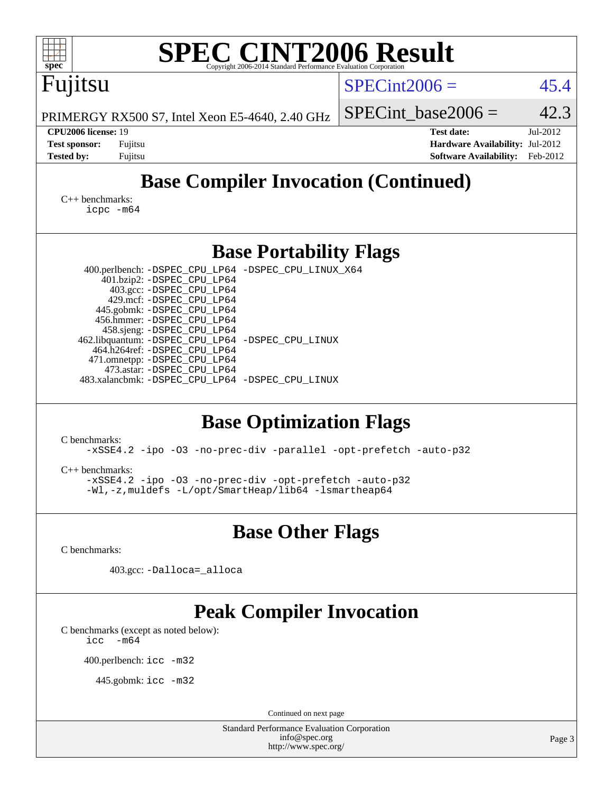| <b>SPEC CINT2006 Result</b><br>$spec^*$<br>Copyright 2006-2014 Standard Performance Evaluation Corporation                                                                                                                                                                                                                                                                                                                                                                                                                                                                                                                                                                                                |                                                                                                               |  |  |  |  |  |  |
|-----------------------------------------------------------------------------------------------------------------------------------------------------------------------------------------------------------------------------------------------------------------------------------------------------------------------------------------------------------------------------------------------------------------------------------------------------------------------------------------------------------------------------------------------------------------------------------------------------------------------------------------------------------------------------------------------------------|---------------------------------------------------------------------------------------------------------------|--|--|--|--|--|--|
| Fujitsu                                                                                                                                                                                                                                                                                                                                                                                                                                                                                                                                                                                                                                                                                                   | $SPECint2006 =$<br>45.4                                                                                       |  |  |  |  |  |  |
| PRIMERGY RX500 S7, Intel Xeon E5-4640, 2.40 GHz                                                                                                                                                                                                                                                                                                                                                                                                                                                                                                                                                                                                                                                           | 42.3<br>$SPECint base2006 =$                                                                                  |  |  |  |  |  |  |
| CPU2006 license: 19<br><b>Test sponsor:</b><br>Fujitsu<br><b>Tested by:</b><br>Fujitsu                                                                                                                                                                                                                                                                                                                                                                                                                                                                                                                                                                                                                    | <b>Test date:</b><br>Jul-2012<br>Hardware Availability: Jul-2012<br><b>Software Availability:</b><br>Feb-2012 |  |  |  |  |  |  |
| <b>Base Compiler Invocation (Continued)</b>                                                                                                                                                                                                                                                                                                                                                                                                                                                                                                                                                                                                                                                               |                                                                                                               |  |  |  |  |  |  |
| $C_{++}$ benchmarks:<br>$icpc$ $-m64$                                                                                                                                                                                                                                                                                                                                                                                                                                                                                                                                                                                                                                                                     |                                                                                                               |  |  |  |  |  |  |
| <b>Base Portability Flags</b>                                                                                                                                                                                                                                                                                                                                                                                                                                                                                                                                                                                                                                                                             |                                                                                                               |  |  |  |  |  |  |
| 400.perlbench: -DSPEC_CPU_LP64 -DSPEC_CPU_LINUX_X64<br>401.bzip2: -DSPEC_CPU_LP64<br>403.gcc: -DSPEC_CPU_LP64<br>429.mcf: -DSPEC_CPU_LP64<br>445.gobmk: -DSPEC_CPU_LP64<br>456.hmmer: -DSPEC_CPU_LP64<br>458.sjeng: -DSPEC_CPU_LP64<br>462.libquantum: -DSPEC_CPU_LP64 -DSPEC_CPU_LINUX<br>464.h264ref: -DSPEC_CPU_LP64<br>471.omnetpp: -DSPEC_CPU_LP64<br>473.astar: -DSPEC_CPU_LP64<br>483.xalancbmk: -DSPEC_CPU_LP64 -DSPEC_CPU_LINUX<br><b>Base Optimization Flags</b><br>C benchmarks:<br>-xSSE4.2 -ipo -03 -no-prec-div -parallel -opt-prefetch -auto-p32<br>$C_{++}$ benchmarks:<br>-xSSE4.2 -ipo -03 -no-prec-div -opt-prefetch -auto-p32<br>-Wl,-z, muldefs -L/opt/SmartHeap/lib64 -lsmartheap64 |                                                                                                               |  |  |  |  |  |  |
| <b>Base Other Flags</b>                                                                                                                                                                                                                                                                                                                                                                                                                                                                                                                                                                                                                                                                                   |                                                                                                               |  |  |  |  |  |  |
| C benchmarks:                                                                                                                                                                                                                                                                                                                                                                                                                                                                                                                                                                                                                                                                                             |                                                                                                               |  |  |  |  |  |  |
| 403.gcc: -Dalloca=_alloca                                                                                                                                                                                                                                                                                                                                                                                                                                                                                                                                                                                                                                                                                 |                                                                                                               |  |  |  |  |  |  |
| <b>Peak Compiler Invocation</b><br>C benchmarks (except as noted below):<br>$-m64$<br>icc<br>400.perlbench: icc -m32<br>445.gobmk: icc -m32                                                                                                                                                                                                                                                                                                                                                                                                                                                                                                                                                               |                                                                                                               |  |  |  |  |  |  |
| Continued on next page<br><b>Standard Performance Evaluation Corporation</b>                                                                                                                                                                                                                                                                                                                                                                                                                                                                                                                                                                                                                              |                                                                                                               |  |  |  |  |  |  |
| info@spec.org<br>http://www.spec.org/                                                                                                                                                                                                                                                                                                                                                                                                                                                                                                                                                                                                                                                                     | Page 3                                                                                                        |  |  |  |  |  |  |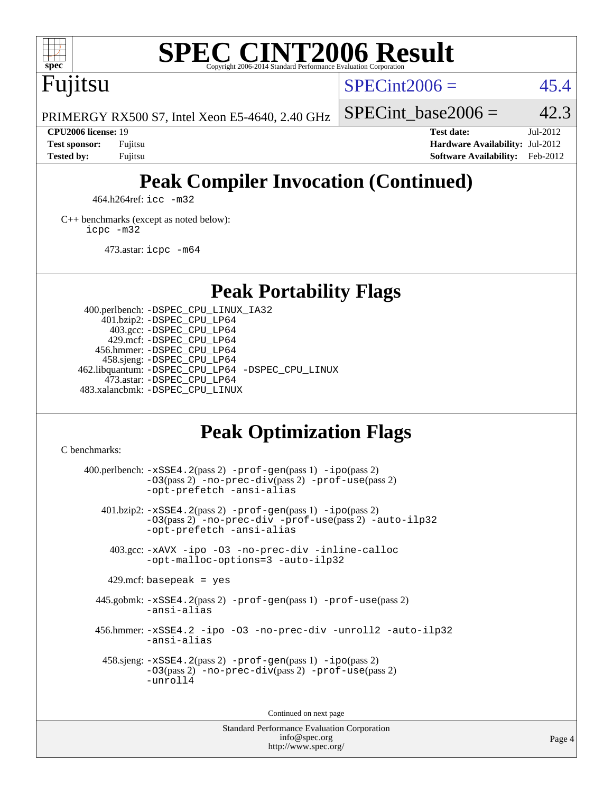

# **[SPEC CINT2006 Result](http://www.spec.org/auto/cpu2006/Docs/result-fields.html#SPECCINT2006Result)**

Fujitsu

 $SPECint2006 = 45.4$  $SPECint2006 = 45.4$ 

PRIMERGY RX500 S7, Intel Xeon E5-4640, 2.40 GHz

SPECint base2006 =  $42.3$ **[CPU2006 license:](http://www.spec.org/auto/cpu2006/Docs/result-fields.html#CPU2006license)** 19 **[Test date:](http://www.spec.org/auto/cpu2006/Docs/result-fields.html#Testdate)** Jul-2012

**[Test sponsor:](http://www.spec.org/auto/cpu2006/Docs/result-fields.html#Testsponsor)** Fujitsu **[Hardware Availability:](http://www.spec.org/auto/cpu2006/Docs/result-fields.html#HardwareAvailability)** Jul-2012 **[Tested by:](http://www.spec.org/auto/cpu2006/Docs/result-fields.html#Testedby)** Fujitsu **[Software Availability:](http://www.spec.org/auto/cpu2006/Docs/result-fields.html#SoftwareAvailability)** Feb-2012

# **[Peak Compiler Invocation \(Continued\)](http://www.spec.org/auto/cpu2006/Docs/result-fields.html#PeakCompilerInvocation)**

464.h264ref: [icc -m32](http://www.spec.org/cpu2006/results/res2012q3/cpu2006-20120730-23923.flags.html#user_peakCCLD464_h264ref_intel_icc_a6a621f8d50482236b970c6ac5f55f93)

[C++ benchmarks \(except as noted below\):](http://www.spec.org/auto/cpu2006/Docs/result-fields.html#CXXbenchmarksexceptasnotedbelow) [icpc -m32](http://www.spec.org/cpu2006/results/res2012q3/cpu2006-20120730-23923.flags.html#user_CXXpeak_intel_icpc_4e5a5ef1a53fd332b3c49e69c3330699)

473.astar: [icpc -m64](http://www.spec.org/cpu2006/results/res2012q3/cpu2006-20120730-23923.flags.html#user_peakCXXLD473_astar_intel_icpc_64bit_fc66a5337ce925472a5c54ad6a0de310)

**[Peak Portability Flags](http://www.spec.org/auto/cpu2006/Docs/result-fields.html#PeakPortabilityFlags)**

 400.perlbench: [-DSPEC\\_CPU\\_LINUX\\_IA32](http://www.spec.org/cpu2006/results/res2012q3/cpu2006-20120730-23923.flags.html#b400.perlbench_peakCPORTABILITY_DSPEC_CPU_LINUX_IA32) 401.bzip2: [-DSPEC\\_CPU\\_LP64](http://www.spec.org/cpu2006/results/res2012q3/cpu2006-20120730-23923.flags.html#suite_peakPORTABILITY401_bzip2_DSPEC_CPU_LP64) 403.gcc: [-DSPEC\\_CPU\\_LP64](http://www.spec.org/cpu2006/results/res2012q3/cpu2006-20120730-23923.flags.html#suite_peakPORTABILITY403_gcc_DSPEC_CPU_LP64) 429.mcf: [-DSPEC\\_CPU\\_LP64](http://www.spec.org/cpu2006/results/res2012q3/cpu2006-20120730-23923.flags.html#suite_peakPORTABILITY429_mcf_DSPEC_CPU_LP64) 456.hmmer: [-DSPEC\\_CPU\\_LP64](http://www.spec.org/cpu2006/results/res2012q3/cpu2006-20120730-23923.flags.html#suite_peakPORTABILITY456_hmmer_DSPEC_CPU_LP64) 458.sjeng: [-DSPEC\\_CPU\\_LP64](http://www.spec.org/cpu2006/results/res2012q3/cpu2006-20120730-23923.flags.html#suite_peakPORTABILITY458_sjeng_DSPEC_CPU_LP64) 462.libquantum: [-DSPEC\\_CPU\\_LP64](http://www.spec.org/cpu2006/results/res2012q3/cpu2006-20120730-23923.flags.html#suite_peakPORTABILITY462_libquantum_DSPEC_CPU_LP64) [-DSPEC\\_CPU\\_LINUX](http://www.spec.org/cpu2006/results/res2012q3/cpu2006-20120730-23923.flags.html#b462.libquantum_peakCPORTABILITY_DSPEC_CPU_LINUX) 473.astar: [-DSPEC\\_CPU\\_LP64](http://www.spec.org/cpu2006/results/res2012q3/cpu2006-20120730-23923.flags.html#suite_peakPORTABILITY473_astar_DSPEC_CPU_LP64) 483.xalancbmk: [-DSPEC\\_CPU\\_LINUX](http://www.spec.org/cpu2006/results/res2012q3/cpu2006-20120730-23923.flags.html#b483.xalancbmk_peakCXXPORTABILITY_DSPEC_CPU_LINUX)

# **[Peak Optimization Flags](http://www.spec.org/auto/cpu2006/Docs/result-fields.html#PeakOptimizationFlags)**

[C benchmarks](http://www.spec.org/auto/cpu2006/Docs/result-fields.html#Cbenchmarks):

 $400.$ perlbench:  $-xSSE4$ .  $2(pass 2)$  -prof-qen(pass 1) [-ipo](http://www.spec.org/cpu2006/results/res2012q3/cpu2006-20120730-23923.flags.html#user_peakPASS2_CFLAGSPASS2_LDCFLAGS400_perlbench_f-ipo)(pass 2) [-O3](http://www.spec.org/cpu2006/results/res2012q3/cpu2006-20120730-23923.flags.html#user_peakPASS2_CFLAGSPASS2_LDCFLAGS400_perlbench_f-O3)(pass 2) [-no-prec-div](http://www.spec.org/cpu2006/results/res2012q3/cpu2006-20120730-23923.flags.html#user_peakPASS2_CFLAGSPASS2_LDCFLAGS400_perlbench_f-no-prec-div)(pass 2) [-prof-use](http://www.spec.org/cpu2006/results/res2012q3/cpu2006-20120730-23923.flags.html#user_peakPASS2_CFLAGSPASS2_LDCFLAGS400_perlbench_prof_use_bccf7792157ff70d64e32fe3e1250b55)(pass 2) [-opt-prefetch](http://www.spec.org/cpu2006/results/res2012q3/cpu2006-20120730-23923.flags.html#user_peakCOPTIMIZE400_perlbench_f-opt-prefetch) [-ansi-alias](http://www.spec.org/cpu2006/results/res2012q3/cpu2006-20120730-23923.flags.html#user_peakCOPTIMIZE400_perlbench_f-ansi-alias) 401.bzip2: [-xSSE4.2](http://www.spec.org/cpu2006/results/res2012q3/cpu2006-20120730-23923.flags.html#user_peakPASS2_CFLAGSPASS2_LDCFLAGS401_bzip2_f-xSSE42_f91528193cf0b216347adb8b939d4107)(pass 2) [-prof-gen](http://www.spec.org/cpu2006/results/res2012q3/cpu2006-20120730-23923.flags.html#user_peakPASS1_CFLAGSPASS1_LDCFLAGS401_bzip2_prof_gen_e43856698f6ca7b7e442dfd80e94a8fc)(pass 1) [-ipo](http://www.spec.org/cpu2006/results/res2012q3/cpu2006-20120730-23923.flags.html#user_peakPASS2_CFLAGSPASS2_LDCFLAGS401_bzip2_f-ipo)(pass 2) [-O3](http://www.spec.org/cpu2006/results/res2012q3/cpu2006-20120730-23923.flags.html#user_peakPASS2_CFLAGSPASS2_LDCFLAGS401_bzip2_f-O3)(pass 2) [-no-prec-div](http://www.spec.org/cpu2006/results/res2012q3/cpu2006-20120730-23923.flags.html#user_peakCOPTIMIZEPASS2_CFLAGSPASS2_LDCFLAGS401_bzip2_f-no-prec-div) [-prof-use](http://www.spec.org/cpu2006/results/res2012q3/cpu2006-20120730-23923.flags.html#user_peakPASS2_CFLAGSPASS2_LDCFLAGS401_bzip2_prof_use_bccf7792157ff70d64e32fe3e1250b55)(pass 2) [-auto-ilp32](http://www.spec.org/cpu2006/results/res2012q3/cpu2006-20120730-23923.flags.html#user_peakCOPTIMIZE401_bzip2_f-auto-ilp32) [-opt-prefetch](http://www.spec.org/cpu2006/results/res2012q3/cpu2006-20120730-23923.flags.html#user_peakCOPTIMIZE401_bzip2_f-opt-prefetch) [-ansi-alias](http://www.spec.org/cpu2006/results/res2012q3/cpu2006-20120730-23923.flags.html#user_peakCOPTIMIZE401_bzip2_f-ansi-alias) 403.gcc: [-xAVX](http://www.spec.org/cpu2006/results/res2012q3/cpu2006-20120730-23923.flags.html#user_peakCOPTIMIZE403_gcc_f-xAVX) [-ipo](http://www.spec.org/cpu2006/results/res2012q3/cpu2006-20120730-23923.flags.html#user_peakCOPTIMIZE403_gcc_f-ipo) [-O3](http://www.spec.org/cpu2006/results/res2012q3/cpu2006-20120730-23923.flags.html#user_peakCOPTIMIZE403_gcc_f-O3) [-no-prec-div](http://www.spec.org/cpu2006/results/res2012q3/cpu2006-20120730-23923.flags.html#user_peakCOPTIMIZE403_gcc_f-no-prec-div) [-inline-calloc](http://www.spec.org/cpu2006/results/res2012q3/cpu2006-20120730-23923.flags.html#user_peakCOPTIMIZE403_gcc_f-inline-calloc) [-opt-malloc-options=3](http://www.spec.org/cpu2006/results/res2012q3/cpu2006-20120730-23923.flags.html#user_peakCOPTIMIZE403_gcc_f-opt-malloc-options_13ab9b803cf986b4ee62f0a5998c2238) [-auto-ilp32](http://www.spec.org/cpu2006/results/res2012q3/cpu2006-20120730-23923.flags.html#user_peakCOPTIMIZE403_gcc_f-auto-ilp32)  $429$ .mcf: basepeak = yes 445.gobmk: [-xSSE4.2](http://www.spec.org/cpu2006/results/res2012q3/cpu2006-20120730-23923.flags.html#user_peakPASS2_CFLAGSPASS2_LDCFLAGS445_gobmk_f-xSSE42_f91528193cf0b216347adb8b939d4107)(pass 2) [-prof-gen](http://www.spec.org/cpu2006/results/res2012q3/cpu2006-20120730-23923.flags.html#user_peakPASS1_CFLAGSPASS1_LDCFLAGS445_gobmk_prof_gen_e43856698f6ca7b7e442dfd80e94a8fc)(pass 1) [-prof-use](http://www.spec.org/cpu2006/results/res2012q3/cpu2006-20120730-23923.flags.html#user_peakPASS2_CFLAGSPASS2_LDCFLAGS445_gobmk_prof_use_bccf7792157ff70d64e32fe3e1250b55)(pass 2) [-ansi-alias](http://www.spec.org/cpu2006/results/res2012q3/cpu2006-20120730-23923.flags.html#user_peakCOPTIMIZE445_gobmk_f-ansi-alias) 456.hmmer: [-xSSE4.2](http://www.spec.org/cpu2006/results/res2012q3/cpu2006-20120730-23923.flags.html#user_peakCOPTIMIZE456_hmmer_f-xSSE42_f91528193cf0b216347adb8b939d4107) [-ipo](http://www.spec.org/cpu2006/results/res2012q3/cpu2006-20120730-23923.flags.html#user_peakCOPTIMIZE456_hmmer_f-ipo) [-O3](http://www.spec.org/cpu2006/results/res2012q3/cpu2006-20120730-23923.flags.html#user_peakCOPTIMIZE456_hmmer_f-O3) [-no-prec-div](http://www.spec.org/cpu2006/results/res2012q3/cpu2006-20120730-23923.flags.html#user_peakCOPTIMIZE456_hmmer_f-no-prec-div) [-unroll2](http://www.spec.org/cpu2006/results/res2012q3/cpu2006-20120730-23923.flags.html#user_peakCOPTIMIZE456_hmmer_f-unroll_784dae83bebfb236979b41d2422d7ec2) [-auto-ilp32](http://www.spec.org/cpu2006/results/res2012q3/cpu2006-20120730-23923.flags.html#user_peakCOPTIMIZE456_hmmer_f-auto-ilp32) [-ansi-alias](http://www.spec.org/cpu2006/results/res2012q3/cpu2006-20120730-23923.flags.html#user_peakCOPTIMIZE456_hmmer_f-ansi-alias) 458.sjeng: [-xSSE4.2](http://www.spec.org/cpu2006/results/res2012q3/cpu2006-20120730-23923.flags.html#user_peakPASS2_CFLAGSPASS2_LDCFLAGS458_sjeng_f-xSSE42_f91528193cf0b216347adb8b939d4107)(pass 2) [-prof-gen](http://www.spec.org/cpu2006/results/res2012q3/cpu2006-20120730-23923.flags.html#user_peakPASS1_CFLAGSPASS1_LDCFLAGS458_sjeng_prof_gen_e43856698f6ca7b7e442dfd80e94a8fc)(pass 1) [-ipo](http://www.spec.org/cpu2006/results/res2012q3/cpu2006-20120730-23923.flags.html#user_peakPASS2_CFLAGSPASS2_LDCFLAGS458_sjeng_f-ipo)(pass 2) [-O3](http://www.spec.org/cpu2006/results/res2012q3/cpu2006-20120730-23923.flags.html#user_peakPASS2_CFLAGSPASS2_LDCFLAGS458_sjeng_f-O3)(pass 2) [-no-prec-div](http://www.spec.org/cpu2006/results/res2012q3/cpu2006-20120730-23923.flags.html#user_peakPASS2_CFLAGSPASS2_LDCFLAGS458_sjeng_f-no-prec-div)(pass 2) [-prof-use](http://www.spec.org/cpu2006/results/res2012q3/cpu2006-20120730-23923.flags.html#user_peakPASS2_CFLAGSPASS2_LDCFLAGS458_sjeng_prof_use_bccf7792157ff70d64e32fe3e1250b55)(pass 2) [-unroll4](http://www.spec.org/cpu2006/results/res2012q3/cpu2006-20120730-23923.flags.html#user_peakCOPTIMIZE458_sjeng_f-unroll_4e5e4ed65b7fd20bdcd365bec371b81f)

Continued on next page

Standard Performance Evaluation Corporation [info@spec.org](mailto:info@spec.org) <http://www.spec.org/>